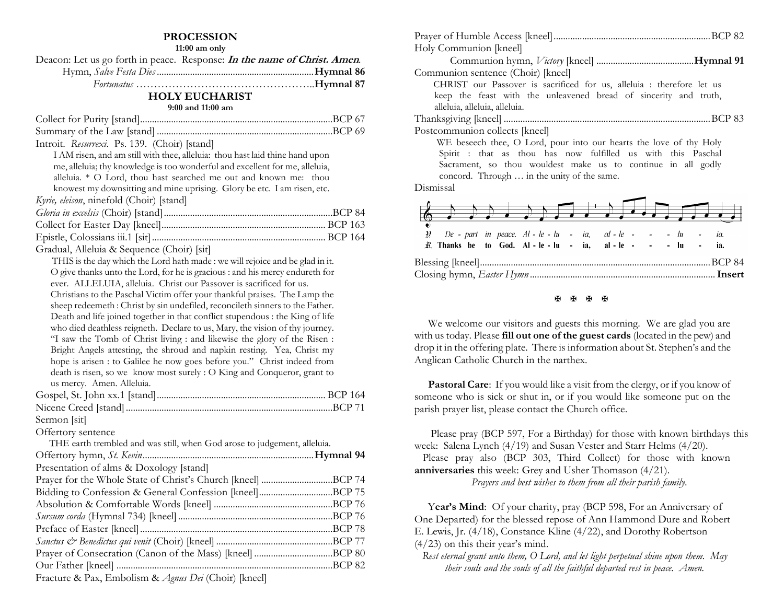### **PROCESSION**

**11:00 am only**

| Deacon: Let us go forth in peace. Response: <i>In the name of Christ. Amen.</i> |
|---------------------------------------------------------------------------------|
|                                                                                 |
|                                                                                 |

#### **HOLY EUCHARIST**

#### **9:00 and 11:00 am**

| Introit. Resurrexi. Ps. 139. (Choir) [stand]                                                                                      |  |
|-----------------------------------------------------------------------------------------------------------------------------------|--|
| I AM risen, and am still with thee, alleluia: thou hast laid thine hand upon                                                      |  |
| me, alleluia; thy knowledge is too wonderful and excellent for me, alleluia,                                                      |  |
| alleluia. * O Lord, thou hast searched me out and known me:<br>thou                                                               |  |
| knowest my downsitting and mine uprising. Glory be etc. I am risen, etc.                                                          |  |
| Kyrie, eleison, ninefold (Choir) [stand]                                                                                          |  |
|                                                                                                                                   |  |
|                                                                                                                                   |  |
|                                                                                                                                   |  |
| Gradual, Alleluia & Sequence (Choir) [sit]                                                                                        |  |
| THIS is the day which the Lord hath made : we will rejoice and be glad in it.                                                     |  |
| O give thanks unto the Lord, for he is gracious : and his mercy endureth for                                                      |  |
| ever. ALLELUIA, alleluia. Christ our Passover is sacrificed for us.                                                               |  |
| Christians to the Paschal Victim offer your thankful praises. The Lamp the                                                        |  |
| sheep redeemeth: Christ by sin undefiled, reconcileth sinners to the Father.                                                      |  |
| Death and life joined together in that conflict stupendous : the King of life                                                     |  |
| who died deathless reigneth. Declare to us, Mary, the vision of thy journey.                                                      |  |
| "I saw the Tomb of Christ living : and likewise the glory of the Risen :                                                          |  |
| Bright Angels attesting, the shroud and napkin resting. Yea, Christ my                                                            |  |
| hope is arisen : to Galilee he now goes before you." Christ indeed from                                                           |  |
| death is risen, so we know most surely : O King and Conqueror, grant to                                                           |  |
| us mercy. Amen. Alleluia.                                                                                                         |  |
|                                                                                                                                   |  |
|                                                                                                                                   |  |
| Sermon [sit]                                                                                                                      |  |
| Offertory sentence                                                                                                                |  |
| THE earth trembled and was still, when God arose to judgement, alleluia.                                                          |  |
|                                                                                                                                   |  |
| Presentation of alms & Doxology [stand]                                                                                           |  |
| Prayer for the Whole State of Christ's Church [kneel] BCP 74                                                                      |  |
|                                                                                                                                   |  |
|                                                                                                                                   |  |
|                                                                                                                                   |  |
|                                                                                                                                   |  |
|                                                                                                                                   |  |
|                                                                                                                                   |  |
|                                                                                                                                   |  |
| $\mathbf{u}$ $\mathbf{v}$ $\mathbf{v}$ $\mathbf{v}$ $\mathbf{v}$ $\mathbf{v}$ $\mathbf{v}$ $\mathbf{v}$ $\mathbf{v}$ $\mathbf{v}$ |  |

Fracture & Pax, Embolism & *Agnus Dei* (Choir) [kneel]

| Holy Communion [kneel]                                                        |  |
|-------------------------------------------------------------------------------|--|
|                                                                               |  |
| Communion sentence (Choir) [kneel]                                            |  |
| CHRIST our Passover is sacrificed for us, alleluia : therefore let us         |  |
| keep the feast with the unleavened bread of sincerity and truth,              |  |
| alleluia, alleluia, alleluia.                                                 |  |
|                                                                               |  |
| Postcommunion collects [kneel]                                                |  |
| WE beseech thee, O Lord, pour into our hearts the love of thy Holy            |  |
| Spirit : that as thou has now fulfilled us with this Paschal                  |  |
| Sacrament, so thou wouldest make us to continue in all godly                  |  |
| concord. Through  in the unity of the same.                                   |  |
| Dismissal                                                                     |  |
|                                                                               |  |
|                                                                               |  |
|                                                                               |  |
| De - part in peace. $Al - le - lu - ia$ , $al - le - - l - lu -$<br>IJ<br>ia. |  |
| <i>R</i> . Thanks be to God. Al-le-lu - ia, al-le- - - - lu<br>ia.            |  |
|                                                                               |  |
|                                                                               |  |
|                                                                               |  |

#### **H H H H**

We welcome our visitors and guests this morning. We are glad you are with us today. Please **fill out one of the guest cards** (located in the pew) and drop it in the offering plate. There is information about St. Stephen's and the Anglican Catholic Church in the narthex.

**Pastoral Care:** If you would like a visit from the clergy, or if you know of someone who is sick or shut in, or if you would like someone put on the parish prayer list, please contact the Church office.

 Please pray (BCP 597, For a Birthday) for those with known birthdays this week: Salena Lynch (4/19) and Susan Vester and Starr Helms (4/20).

 Please pray also (BCP 303, Third Collect) for those with known **anniversaries** this week: Grey and Usher Thomason (4/21).

*Prayers and best wishes to them from all their parish family*.

Year's Mind: Of your charity, pray (BCP 598, For an Anniversary of One Departed) for the blessed repose of Ann Hammond Dure and Robert E. Lewis, Jr. (4/18), Constance Kline (4/22), and Dorothy Robertson (4/23) on this their year's mind.

*Rest eternal grant unto them, O Lord, and let light perpetual shine upon them. May their souls and the souls of all the faithful departed rest in peace. Amen.*